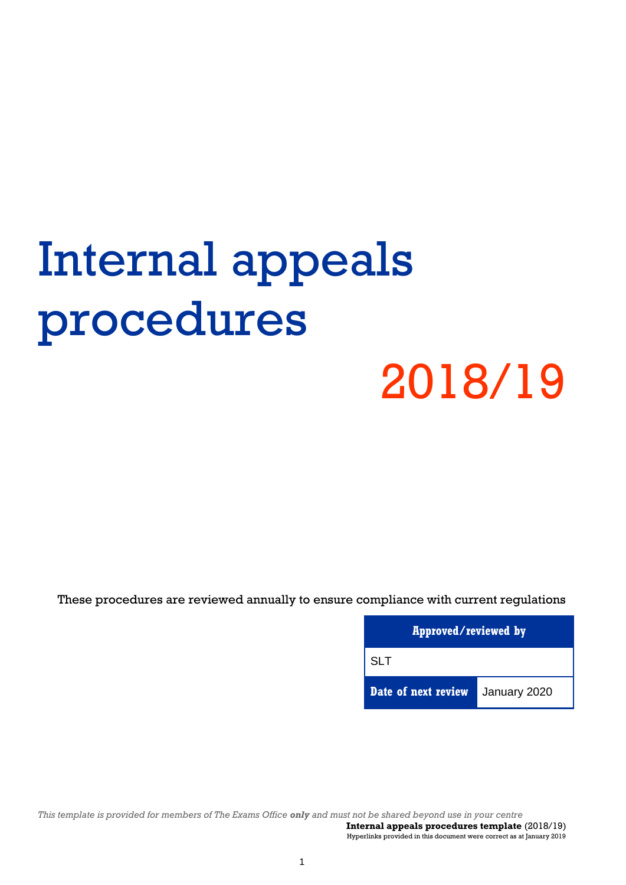# Internal appeals procedures 2018/19

These procedures are reviewed annually to ensure compliance with current regulations

| Approved/reviewed by |              |  |  |
|----------------------|--------------|--|--|
| <b>SLT</b>           |              |  |  |
| Date of next review  | January 2020 |  |  |

*This template is provided for members of The Exams Office only and must not be shared beyond use in your centre*  **Internal appeals procedures template** (2018/19)

Hyperlinks provided in this document were correct as at January 2019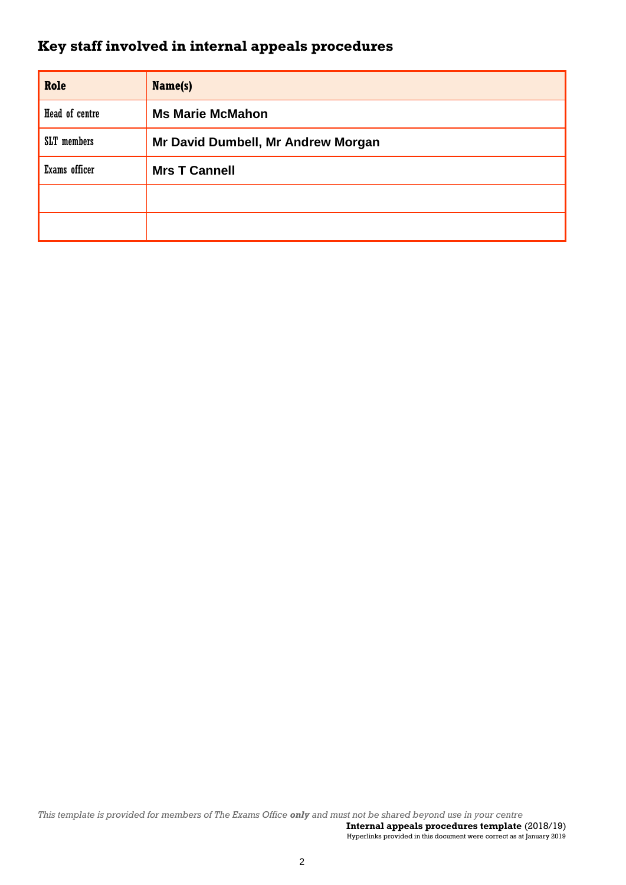# **Key staff involved in internal appeals procedures**

| Role           | Name(s)                            |  |
|----------------|------------------------------------|--|
| Head of centre | <b>Ms Marie McMahon</b>            |  |
| SLT members    | Mr David Dumbell, Mr Andrew Morgan |  |
| Exams officer  | <b>Mrs T Cannell</b>               |  |
|                |                                    |  |
|                |                                    |  |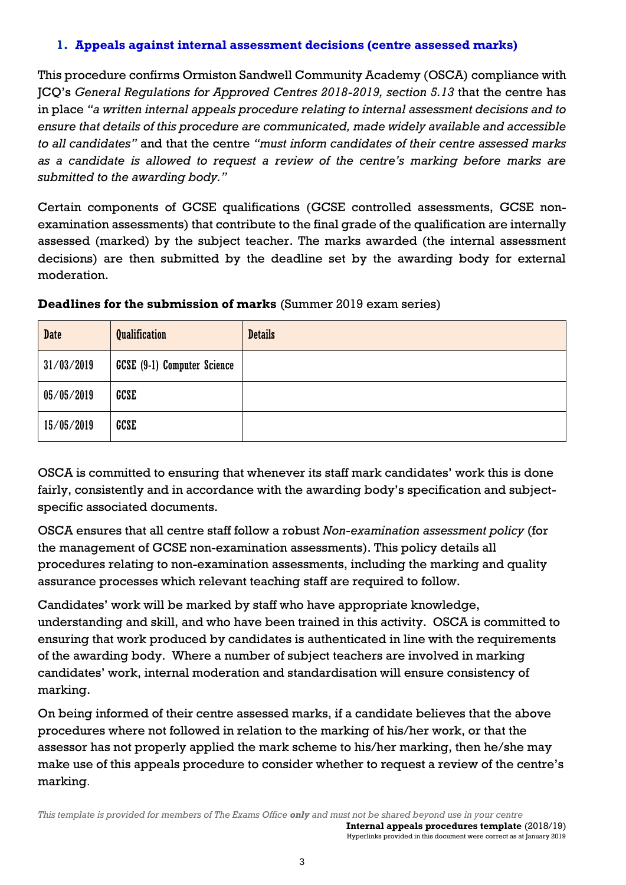### **1. Appeals against internal assessment decisions (centre assessed marks)**

This procedure confirms Ormiston Sandwell Community Academy (OSCA) compliance with JCQ's *General Regulations for Approved Centres 2018-2019, section 5.13* that the centre has in place *"a written internal appeals procedure relating to internal assessment decisions and to ensure that details of this procedure are communicated, made widely available and accessible to all candidates"* and that the centre *"must inform candidates of their centre assessed marks as a candidate is allowed to request a review of the centre's marking before marks are submitted to the awarding body."*

Certain components of GCSE qualifications (GCSE controlled assessments, GCSE nonexamination assessments) that contribute to the final grade of the qualification are internally assessed (marked) by the subject teacher. The marks awarded (the internal assessment decisions) are then submitted by the deadline set by the awarding body for external moderation.

| <b>Date</b> | <b>Qualification</b>        | <b>Details</b> |
|-------------|-----------------------------|----------------|
| 31/03/2019  | GCSE (9-1) Computer Science |                |
| 05/05/2019  | GCSE                        |                |
| 15/05/2019  | <b>GCSE</b>                 |                |

#### **Deadlines for the submission of marks** (Summer 2019 exam series)

OSCA is committed to ensuring that whenever its staff mark candidates' work this is done fairly, consistently and in accordance with the awarding body's specification and subjectspecific associated documents.

OSCA ensures that all centre staff follow a robust *Non-examination assessment policy* (for the management of GCSE non-examination assessments). This policy details all procedures relating to non-examination assessments, including the marking and quality assurance processes which relevant teaching staff are required to follow.

Candidates' work will be marked by staff who have appropriate knowledge, understanding and skill, and who have been trained in this activity. OSCA is committed to ensuring that work produced by candidates is authenticated in line with the requirements of the awarding body. Where a number of subject teachers are involved in marking candidates' work, internal moderation and standardisation will ensure consistency of marking.

On being informed of their centre assessed marks, if a candidate believes that the above procedures where not followed in relation to the marking of his/her work, or that the assessor has not properly applied the mark scheme to his/her marking, then he/she may make use of this appeals procedure to consider whether to request a review of the centre's marking.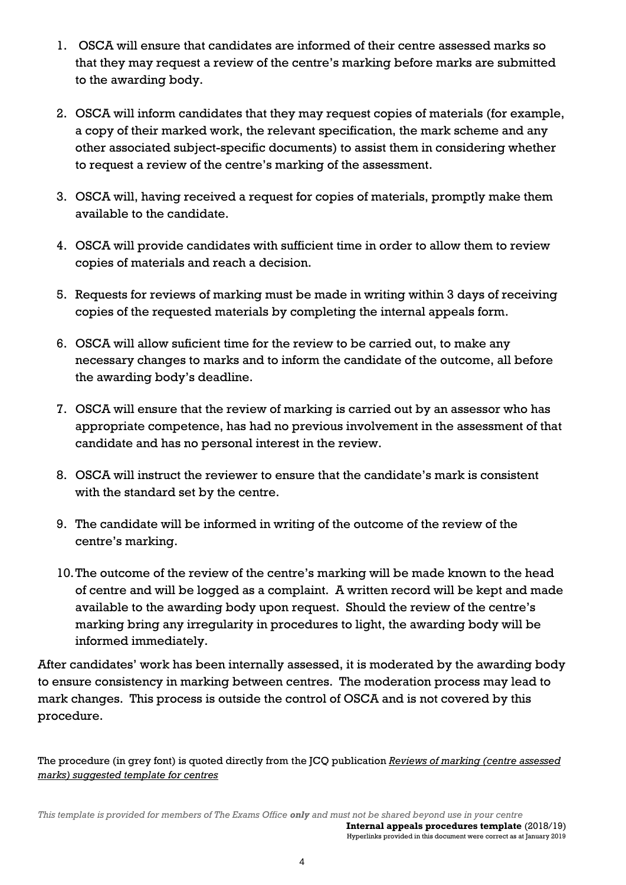- 1. OSCA will ensure that candidates are informed of their centre assessed marks so that they may request a review of the centre's marking before marks are submitted to the awarding body.
- 2. OSCA will inform candidates that they may request copies of materials (for example, a copy of their marked work, the relevant specification, the mark scheme and any other associated subject-specific documents) to assist them in considering whether to request a review of the centre's marking of the assessment.
- 3. OSCA will, having received a request for copies of materials, promptly make them available to the candidate.
- 4. OSCA will provide candidates with sufficient time in order to allow them to review copies of materials and reach a decision.
- 5. Requests for reviews of marking must be made in writing within 3 days of receiving copies of the requested materials by completing the internal appeals form.
- 6. OSCA will allow suficient time for the review to be carried out, to make any necessary changes to marks and to inform the candidate of the outcome, all before the awarding body's deadline.
- 7. OSCA will ensure that the review of marking is carried out by an assessor who has appropriate competence, has had no previous involvement in the assessment of that candidate and has no personal interest in the review.
- 8. OSCA will instruct the reviewer to ensure that the candidate's mark is consistent with the standard set by the centre.
- 9. The candidate will be informed in writing of the outcome of the review of the centre's marking.
- 10.The outcome of the review of the centre's marking will be made known to the head of centre and will be logged as a complaint. A written record will be kept and made available to the awarding body upon request. Should the review of the centre's marking bring any irregularity in procedures to light, the awarding body will be informed immediately.

After candidates' work has been internally assessed, it is moderated by the awarding body to ensure consistency in marking between centres. The moderation process may lead to mark changes. This process is outside the control of OSCA and is not covered by this procedure.

The procedure (in grey font) is quoted directly from the JCQ publication *[Reviews of marking \(centre assessed](http://www.jcq.org.uk/exams-office/controlled-assessments)  [marks\) suggested template for centres](http://www.jcq.org.uk/exams-office/controlled-assessments)*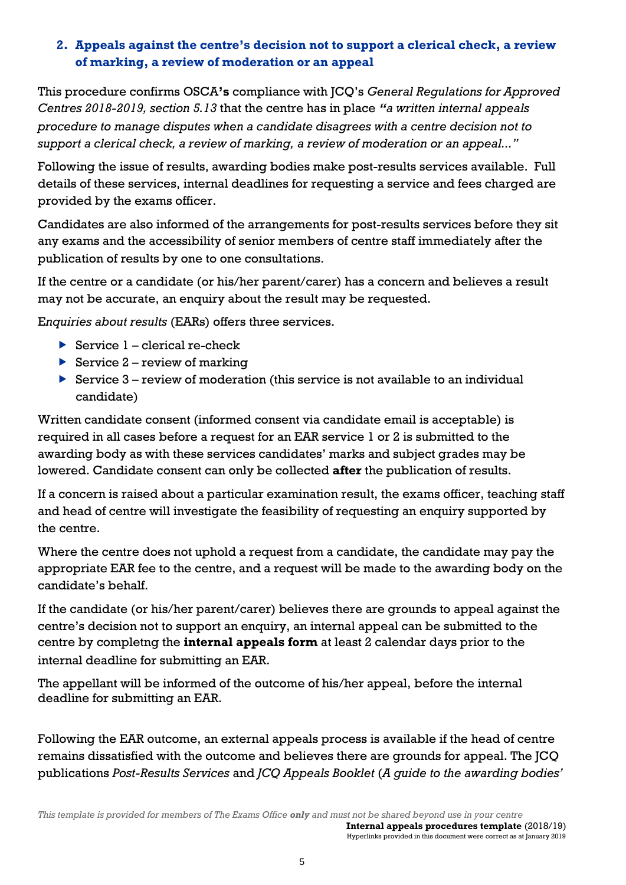# **2. Appeals against the centre's decision not to support a clerical check, a review of marking, a review of moderation or an appeal**

This procedure confirms OSCA**'s** compliance with JCQ's *General Regulations for Approved Centres 2018-2019, section 5.13* that the centre has in place *"a written internal appeals procedure to manage disputes when a candidate disagrees with a centre decision not to support a clerical check, a review of marking, a review of moderation or an appeal..."*

Following the issue of results, awarding bodies make post-results services available. Full details of these services, internal deadlines for requesting a service and fees charged are provided by the exams officer.

Candidates are also informed of the arrangements for post-results services before they sit any exams and the accessibility of senior members of centre staff immediately after the publication of results by one to one consultations.

If the centre or a candidate (or his/her parent/carer) has a concern and believes a result may not be accurate, an enquiry about the result may be requested.

E*nquiries about results* (EARs) offers three services.

- Service  $1$  clerical re-check
- Service  $2$  review of marking
- Service  $3$  review of moderation (this service is not available to an individual candidate)

Written candidate consent (informed consent via candidate email is acceptable) is required in all cases before a request for an EAR service 1 or 2 is submitted to the awarding body as with these services candidates' marks and subject grades may be lowered. Candidate consent can only be collected **after** the publication of results.

If a concern is raised about a particular examination result, the exams officer, teaching staff and head of centre will investigate the feasibility of requesting an enquiry supported by the centre.

Where the centre does not uphold a request from a candidate, the candidate may pay the appropriate EAR fee to the centre, and a request will be made to the awarding body on the candidate's behalf.

If the candidate (or his/her parent/carer) believes there are grounds to appeal against the centre's decision not to support an enquiry, an internal appeal can be submitted to the centre by completng the **internal appeals form** at least 2 calendar days prior to the internal deadline for submitting an EAR.

The appellant will be informed of the outcome of his/her appeal, before the internal deadline for submitting an EAR.

Following the EAR outcome, an external appeals process is available if the head of centre remains dissatisfied with the outcome and believes there are grounds for appeal. The JCQ publications *Post-Results Services* and *JCQ Appeals Booklet* (*A guide to the awarding bodies'*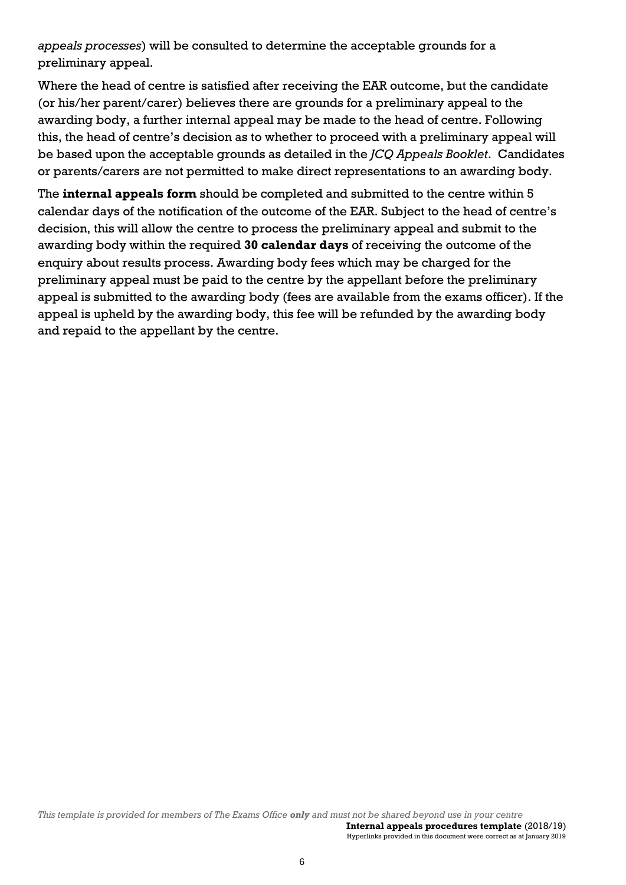*appeals processes*) will be consulted to determine the acceptable grounds for a preliminary appeal.

Where the head of centre is satisfied after receiving the EAR outcome, but the candidate (or his/her parent/carer) believes there are grounds for a preliminary appeal to the awarding body, a further internal appeal may be made to the head of centre. Following this, the head of centre's decision as to whether to proceed with a preliminary appeal will be based upon the acceptable grounds as detailed in the *JCQ Appeals Booklet*. Candidates or parents/carers are not permitted to make direct representations to an awarding body.

The **internal appeals form** should be completed and submitted to the centre within 5 calendar days of the notification of the outcome of the EAR. Subject to the head of centre's decision, this will allow the centre to process the preliminary appeal and submit to the awarding body within the required **30 calendar days** of receiving the outcome of the enquiry about results process. Awarding body fees which may be charged for the preliminary appeal must be paid to the centre by the appellant before the preliminary appeal is submitted to the awarding body (fees are available from the exams officer). If the appeal is upheld by the awarding body, this fee will be refunded by the awarding body and repaid to the appellant by the centre.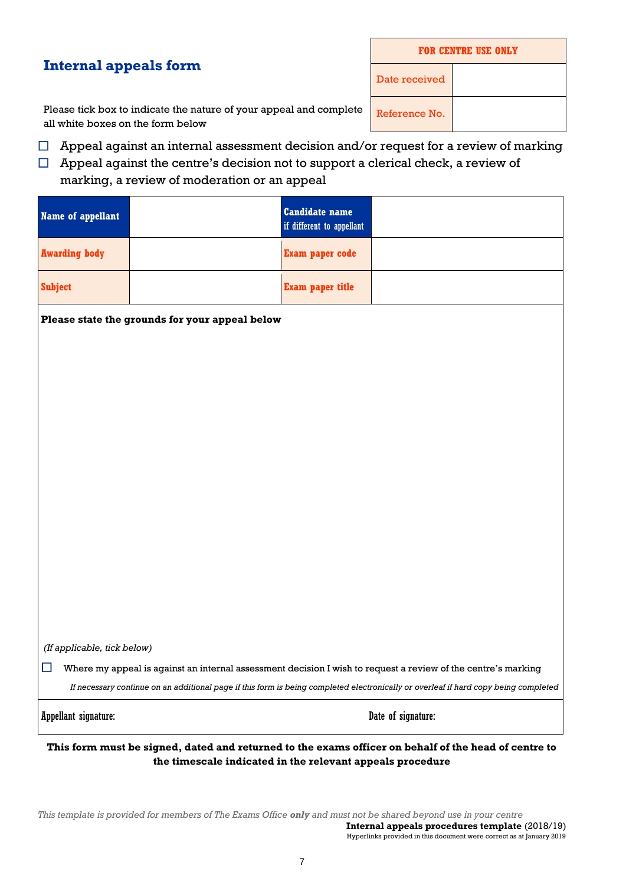# **Internal appeals form**

| <b>FOR CENTRE USE ONLY</b> |  |  |  |
|----------------------------|--|--|--|
| Date received              |  |  |  |
| Reference No.              |  |  |  |

Please tick box to indicate the nature of your appeal and complete all white boxes on the form below

- $\Box$  Appeal against an internal assessment decision and/or request for a review of marking
- $\Box$  Appeal against the centre's decision not to support a clerical check, a review of

#### marking, a review of moderation or an appeal

| Name of appellant    | <b>Candidate name</b><br>if different to appellant |  |
|----------------------|----------------------------------------------------|--|
| <b>Awarding body</b> | Exam paper code                                    |  |
| <b>Subject</b>       | <b>Exam paper title</b>                            |  |

#### **Please state the grounds for your appeal below**

*(If applicable, tick below)*

 $\Box$  Where my appeal is against an internal assessment decision I wish to request a review of the centre's marking

*If necessary continue on an additional page if this form is being completed electronically or overleaf if hard copy being completed*

Appellant signature: Date of signature:

**This form must be signed, dated and returned to the exams officer on behalf of the head of centre to the timescale indicated in the relevant appeals procedure**

*This template is provided for members of The Exams Office only and must not be shared beyond use in your centre*  **Internal appeals procedures template** (2018/19) Hyperlinks provided in this document were correct as at January 2019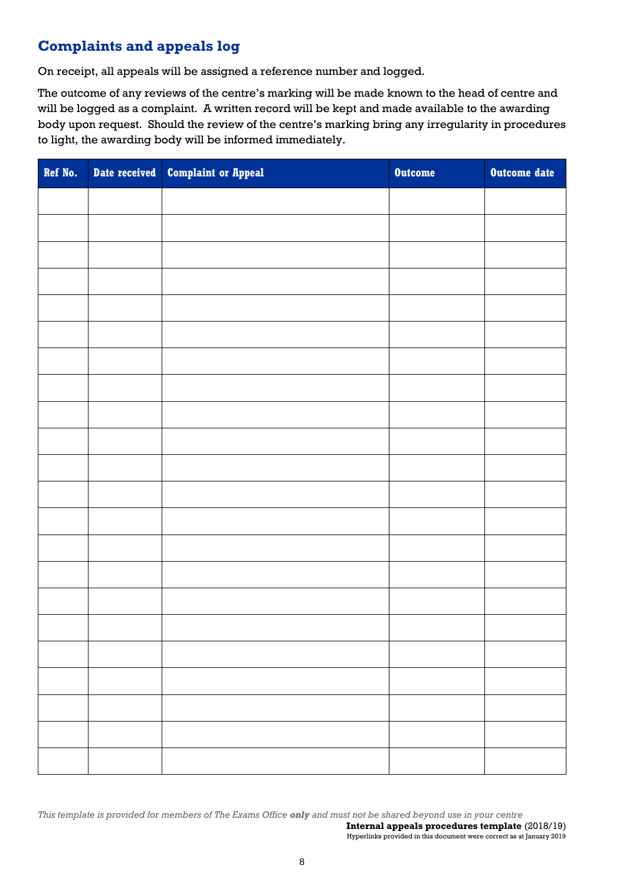# **Complaints and appeals log**

On receipt, all appeals will be assigned a reference number and logged.

The outcome of any reviews of the centre's marking will be made known to the head of centre and will be logged as a complaint. A written record will be kept and made available to the awarding body upon request. Should the review of the centre's marking bring any irregularity in procedures to light, the awarding body will be informed immediately.

| Ref No. | Date received Complaint or Appeal | <b>Outcome</b> | Outcome date |
|---------|-----------------------------------|----------------|--------------|
|         |                                   |                |              |
|         |                                   |                |              |
|         |                                   |                |              |
|         |                                   |                |              |
|         |                                   |                |              |
|         |                                   |                |              |
|         |                                   |                |              |
|         |                                   |                |              |
|         |                                   |                |              |
|         |                                   |                |              |
|         |                                   |                |              |
|         |                                   |                |              |
|         |                                   |                |              |
|         |                                   |                |              |
|         |                                   |                |              |
|         |                                   |                |              |
|         |                                   |                |              |
|         |                                   |                |              |
|         |                                   |                |              |
|         |                                   |                |              |
|         |                                   |                |              |
|         |                                   |                |              |

*This template is provided for members of The Exams Office only and must not be shared beyond use in your centre*  **Internal appeals procedures template** (2018/19)